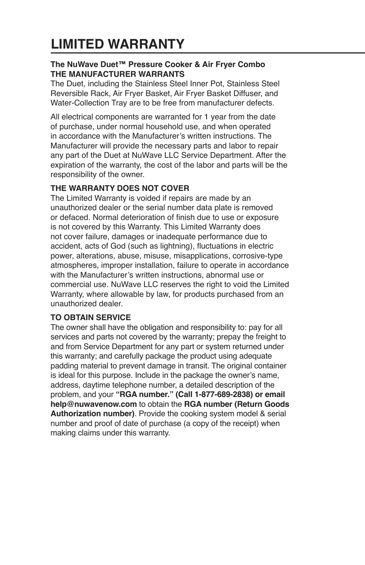# **LIMITED WARRANTY**

## **The NuWave Duet™ Pressure Cooker & Air Fryer Combo THE MANUFACTURER WARRANTS**

The Duet, including the Stainless Steel Inner Pot, Stainless Steel Reversible Rack, Air Fryer Basket, Air Fryer Basket Diffuser, and Water-Collection Tray are to be free from manufacturer defects.

All electrical components are warranted for 1 year from the date of purchase, under normal household use, and when operated in accordance with the Manufacturer's written instructions. The Manufacturer will provide the necessary parts and labor to repair any part of the Duet at NuWave LLC Service Department. After the expiration of the warranty, the cost of the labor and parts will be the responsibility of the owner.

# **THE WARRANTY DOES NOT COVER**

The Limited Warranty is voided if repairs are made by an unauthorized dealer or the serial number data plate is removed or defaced. Normal deterioration of finish due to use or exposure is not covered by this Warranty. This Limited Warranty does not cover failure, damages or inadequate performance due to accident, acts of God (such as lightning), fluctuations in electric power, alterations, abuse, misuse, misapplications, corrosive-type atmospheres, improper installation, failure to operate in accordance with the Manufacturer's written instructions, abnormal use or commercial use. NuWave LLC reserves the right to void the Limited Warranty, where allowable by law, for products purchased from an unauthorized dealer.

## **TO OBTAIN SERVICE**

The owner shall have the obligation and responsibility to: pay for all services and parts not covered by the warranty; prepay the freight to and from Service Department for any part or system returned under this warranty; and carefully package the product using adequate padding material to prevent damage in transit. The original container is ideal for this purpose. Include in the package the owner's name, address, daytime telephone number, a detailed description of the problem, and your **"RGA number." (Call 1-877-689-2838) or email help@nuwavenow.com** to obtain the **RGA number (Return Goods Authorization number)**. Provide the cooking system model & serial number and proof of date of purchase (a copy of the receipt) when making claims under this warranty.